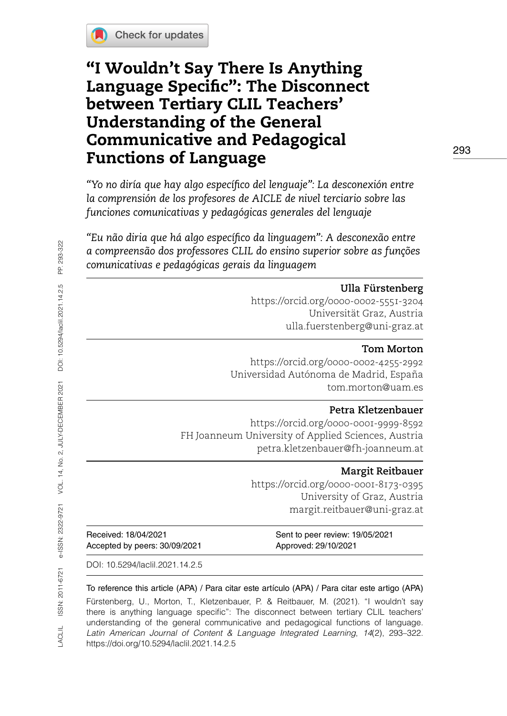

# "I Wouldn't Say There Is Anything Language Specific": The Disconnect between Tertiary CLIL Teachers' Understanding of the General Communicative and Pedagogical Functions of Language

*"Yo no diría que hay algo específico del lenguaje": La desconexión entre la comprensión de los profesores de AICLE de nivel terciario sobre las funciones comunicativas y pedagógicas generales del lenguaje*

*"Eu não diria que há algo específico da linguagem": A desconexão entre a compreensão dos professores CLIL do ensino superior sobre as funções comunicativas e pedagógicas gerais da linguagem*

### **Ulla Fürstenberg**

<https://orcid.org/0000-0002-5551-3204> Universität Graz, Austria [ulla.fuerstenberg@uni-graz.at](mailto:ulla.fuerstenberg@uni-graz.at) 

#### **Tom Morton**

<https://orcid.org/0000-0002-4255-2992> Universidad Autónoma de Madrid, España [tom.morton@uam.es](mailto:tom.morton@uam.es)

#### **Petra Kletzenbauer**

<https://orcid.org/0000-0001-9999-8592> FH Joanneum University of Applied Sciences, Austria [petra.kletzenbauer@fh-joanneum.at](mailto:petra.kletzenbauer@fh-joanneum.at)

#### **Margit Reitbauer**

<https://orcid.org/0000-0001-8173-0395> University of Graz, Austria [margit.reitbauer@uni-graz.at](mailto:margit.reitbauer@uni-graz.at)

| Received: 18/04/2021          |
|-------------------------------|
| Accepted by peers: 30/09/2021 |

Sent to peer review: 19/05/2021 Approved: 29/10/2021

DOI: [10.5294/laclil.2021.14.2.5](https://doi.org/10.5294/laclil.2021.14.2.5)

To reference this article (APA) / Para citar este artículo (APA) / Para citar este artigo (APA) Fürstenberg, U., Morton, T., Kletzenbauer, P. & Reitbauer, M. (2021). "I wouldn't say there is anything language specific": The disconnect between tertiary CLIL teachers' understanding of the general communicative and pedagogical functions of language. *Latin American Journal of Content & Language Integrated Learning*, *14*(2), 293–322. https://doi.org/10.5294/laclil.2021.14.2.5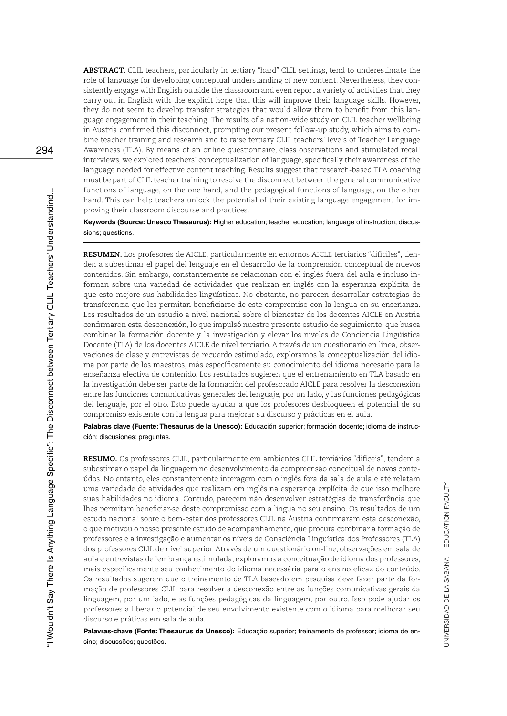**ABSTRACT.** CLIL teachers, particularly in tertiary "hard" CLIL settings, tend to underestimate the role of language for developing conceptual understanding of new content. Nevertheless, they consistently engage with English outside the classroom and even report a variety of activities that they carry out in English with the explicit hope that this will improve their language skills. However, they do not seem to develop transfer strategies that would allow them to benefit from this language engagement in their teaching. The results of a nation-wide study on CLIL teacher wellbeing in Austria confirmed this disconnect, prompting our present follow-up study, which aims to combine teacher training and research and to raise tertiary CLIL teachers' levels of Teacher Language Awareness (TLA). By means of an online questionnaire, class observations and stimulated recall interviews, we explored teachers' conceptualization of language, specifically their awareness of the language needed for effective content teaching. Results suggest that research-based TLA coaching must be part of CLIL teacher training to resolve the disconnect between the general communicative functions of language, on the one hand, and the pedagogical functions of language, on the other hand. This can help teachers unlock the potential of their existing language engagement for improving their classroom discourse and practices.

**Keywords (Source: Unesco Thesaurus):** Higher education; teacher education; language of instruction; discussions; questions.

**RESUMEN.** Los profesores de AICLE, particularmente en entornos AICLE terciarios "difíciles", tienden a subestimar el papel del lenguaje en el desarrollo de la comprensión conceptual de nuevos contenidos. Sin embargo, constantemente se relacionan con el inglés fuera del aula e incluso informan sobre una variedad de actividades que realizan en inglés con la esperanza explícita de que esto mejore sus habilidades lingüísticas. No obstante, no parecen desarrollar estrategias de transferencia que les permitan beneficiarse de este compromiso con la lengua en su enseñanza. Los resultados de un estudio a nivel nacional sobre el bienestar de los docentes AICLE en Austria confirmaron esta desconexión, lo que impulsó nuestro presente estudio de seguimiento, que busca combinar la formación docente y la investigación y elevar los niveles de Conciencia Lingüística Docente (TLA) de los docentes AICLE de nivel terciario. A través de un cuestionario en línea, observaciones de clase y entrevistas de recuerdo estimulado, exploramos la conceptualización del idioma por parte de los maestros, más específicamente su conocimiento del idioma necesario para la enseñanza efectiva de contenido. Los resultados sugieren que el entrenamiento en TLA basado en la investigación debe ser parte de la formación del profesorado AICLE para resolver la desconexión entre las funciones comunicativas generales del lenguaje, por un lado, y las funciones pedagógicas del lenguaje, por el otro. Esto puede ayudar a que los profesores desbloqueen el potencial de su compromiso existente con la lengua para mejorar su discurso y prácticas en el aula.

**Palabras clave (Fuente: Thesaurus de la Unesco):** Educación superior; formación docente; idioma de instrucción; discusiones; preguntas.

**RESUMO.** Os professores CLIL, particularmente em ambientes CLIL terciários "difíceis", tendem a subestimar o papel da linguagem no desenvolvimento da compreensão conceitual de novos conteúdos. No entanto, eles constantemente interagem com o inglês fora da sala de aula e até relatam uma variedade de atividades que realizam em inglês na esperança explícita de que isso melhore suas habilidades no idioma. Contudo, parecem não desenvolver estratégias de transferência que lhes permitam beneficiar-se deste compromisso com a língua no seu ensino. Os resultados de um estudo nacional sobre o bem-estar dos professores CLIL na Áustria confirmaram esta desconexão, o que motivou o nosso presente estudo de acompanhamento, que procura combinar a formação de professores e a investigação e aumentar os níveis de Consciência Linguística dos Professores (TLA) dos professores CLIL de nível superior. Através de um questionário on-line, observações em sala de aula e entrevistas de lembrança estimulada, exploramos a conceituação de idioma dos professores, mais especificamente seu conhecimento do idioma necessária para o ensino eficaz do conteúdo. Os resultados sugerem que o treinamento de TLA baseado em pesquisa deve fazer parte da formação de professores CLIL para resolver a desconexão entre as funções comunicativas gerais da linguagem, por um lado, e as funções pedagógicas da linguagem, por outro. Isso pode ajudar os professores a liberar o potencial de seu envolvimento existente com o idioma para melhorar seu discurso e práticas em sala de aula.

**Palavras-chave (Fonte: Thesaurus da Unesco):** Educação superior; treinamento de professor; idioma de ensino; discussões; questões.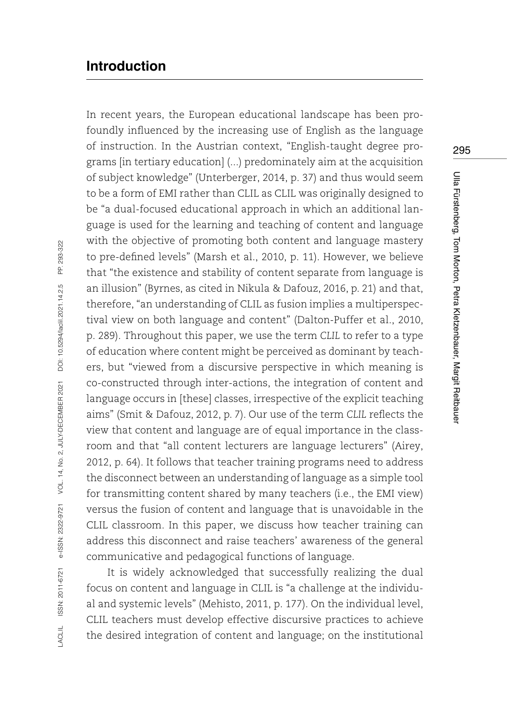# **Introduction**

In recent years, the European educational landscape has been profoundly influenced by the increasing use of English as the language of instruction. In the Austrian context, "English-taught degree programs [in tertiary education] (...) predominately aim at the acquisition of subject knowledge" (Unterberger, 2014, p. 37) and thus would seem to be a form of EMI rather than CLIL as CLIL was originally designed to be "a dual-focused educational approach in which an additional language is used for the learning and teaching of content and language with the objective of promoting both content and language mastery to pre-defined levels" (Marsh et al., 2010, p. 11). However, we believe that "the existence and stability of content separate from language is an illusion" (Byrnes, as cited in Nikula & Dafouz, 2016, p. 21) and that, therefore, "an understanding of CLIL as fusion implies a multiperspectival view on both language and content" (Dalton-Puffer et al., 2010, p. 289). Throughout this paper, we use the term *CLIL* to refer to a type of education where content might be perceived as dominant by teachers, but "viewed from a discursive perspective in which meaning is co-constructed through inter-actions, the integration of content and language occurs in [these] classes, irrespective of the explicit teaching aims" (Smit & Dafouz, 2012, p. 7). Our use of the term *CLIL* reflects the view that content and language are of equal importance in the classroom and that "all content lecturers are language lecturers" (Airey, 2012, p. 64). It follows that teacher training programs need to address the disconnect between an understanding of language as a simple tool for transmitting content shared by many teachers (i.e., the EMI view) versus the fusion of content and language that is unavoidable in the CLIL classroom. In this paper, we discuss how teacher training can address this disconnect and raise teachers' awareness of the general communicative and pedagogical functions of language.

It is widely acknowledged that successfully realizing the dual focus on content and language in CLIL is "a challenge at the individual and systemic levels" (Mehisto, 2011, p. 177). On the individual level, CLIL teachers must develop effective discursive practices to achieve the desired integration of content and language; on the institutional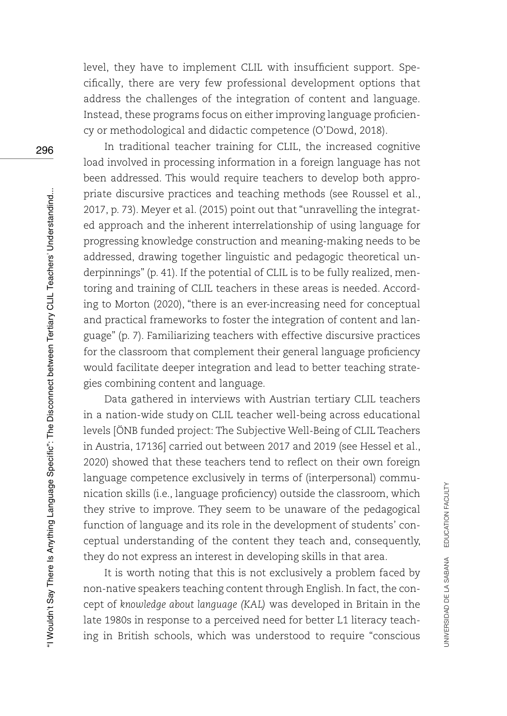level, they have to implement CLIL with insufficient support. Specifically, there are very few professional development options that address the challenges of the integration of content and language. Instead, these programs focus on either improving language proficiency or methodological and didactic competence (O'Dowd, 2018).

In traditional teacher training for CLIL, the increased cognitive load involved in processing information in a foreign language has not been addressed. This would require teachers to develop both appropriate discursive practices and teaching methods (see Roussel et al., 2017, p. 73). Meyer et al. (2015) point out that "unravelling the integrated approach and the inherent interrelationship of using language for progressing knowledge construction and meaning-making needs to be addressed, drawing together linguistic and pedagogic theoretical underpinnings" (p. 41). If the potential of CLIL is to be fully realized, mentoring and training of CLIL teachers in these areas is needed. According to Morton (2020), "there is an ever-increasing need for conceptual and practical frameworks to foster the integration of content and language" (p. 7). Familiarizing teachers with effective discursive practices for the classroom that complement their general language proficiency would facilitate deeper integration and lead to better teaching strategies combining content and language.

Data gathered in interviews with Austrian tertiary CLIL teachers in a nation-wide study on CLIL teacher well-being across educational levels [ÖNB funded project: The Subjective Well-Being of CLIL Teachers in Austria, 17136] carried out between 2017 and 2019 (see Hessel et al., 2020) showed that these teachers tend to reflect on their own foreign language competence exclusively in terms of (interpersonal) communication skills (i.e., language proficiency) outside the classroom, which they strive to improve. They seem to be unaware of the pedagogical function of language and its role in the development of students' conceptual understanding of the content they teach and, consequently, they do not express an interest in developing skills in that area.

It is worth noting that this is not exclusively a problem faced by non-native speakers teaching content through English. In fact, the concept of *knowledge about language (KAL)* was developed in Britain in the late 1980s in response to a perceived need for better L1 literacy teaching in British schools, which was understood to require "conscious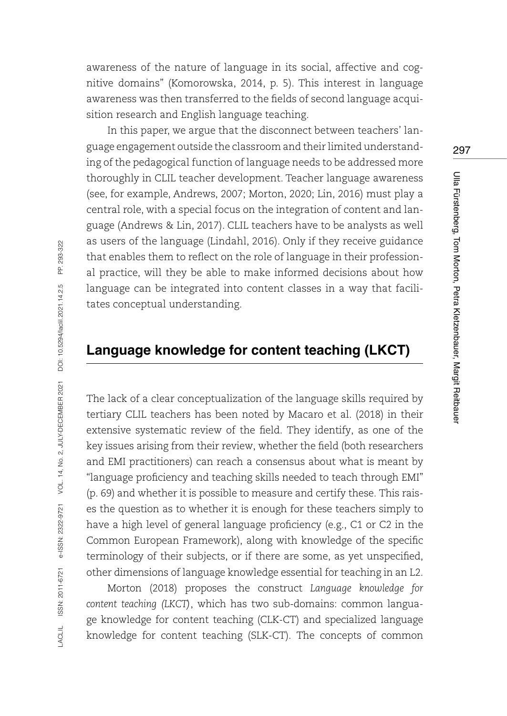awareness of the nature of language in its social, affective and cognitive domains" (Komorowska, 2014, p. 5). This interest in language awareness was then transferred to the fields of second language acquisition research and English language teaching.

In this paper, we argue that the disconnect between teachers' language engagement outside the classroom and their limited understanding of the pedagogical function of language needs to be addressed more thoroughly in CLIL teacher development. Teacher language awareness (see, for example, Andrews, 2007; Morton, 2020; Lin, 2016) must play a central role, with a special focus on the integration of content and language (Andrews & Lin, 2017). CLIL teachers have to be analysts as well as users of the language (Lindahl, 2016). Only if they receive guidance that enables them to reflect on the role of language in their professional practice, will they be able to make informed decisions about how language can be integrated into content classes in a way that facilitates conceptual understanding.

## **Language knowledge for content teaching (LKCT)**

The lack of a clear conceptualization of the language skills required by tertiary CLIL teachers has been noted by Macaro et al. (2018) in their extensive systematic review of the field. They identify, as one of the key issues arising from their review, whether the field (both researchers and EMI practitioners) can reach a consensus about what is meant by "language proficiency and teaching skills needed to teach through EMI" (p. 69) and whether it is possible to measure and certify these. This raises the question as to whether it is enough for these teachers simply to have a high level of general language proficiency (e.g., C1 or C2 in the Common European Framework), along with knowledge of the specific terminology of their subjects, or if there are some, as yet unspecified, other dimensions of language knowledge essential for teaching in an L2.

Morton (2018) proposes the construct *Language knowledge for content teaching (LKCT)*, which has two sub-domains: common language knowledge for content teaching (CLK-CT) and specialized language knowledge for content teaching (SLK-CT). The concepts of common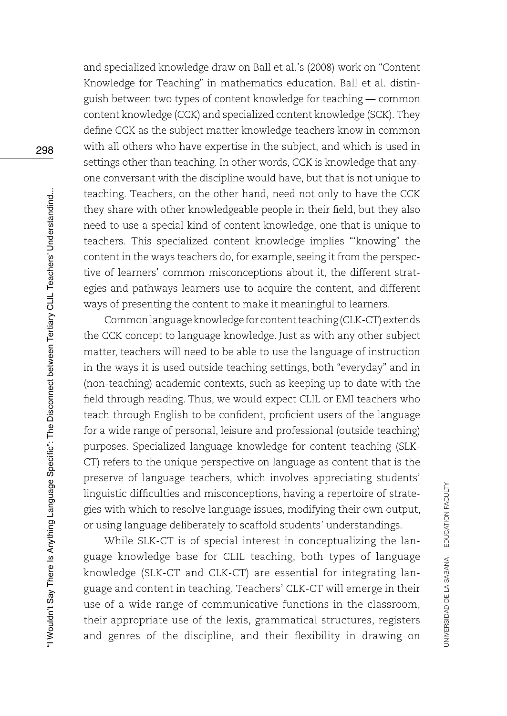and specialized knowledge draw on Ball et al.'s (2008) work on "Content Knowledge for Teaching" in mathematics education. Ball et al. distinguish between two types of content knowledge for teaching — common content knowledge (CCK) and specialized content knowledge (SCK). They define CCK as the subject matter knowledge teachers know in common with all others who have expertise in the subject, and which is used in settings other than teaching. In other words, CCK is knowledge that anyone conversant with the discipline would have, but that is not unique to teaching. Teachers, on the other hand, need not only to have the CCK they share with other knowledgeable people in their field, but they also need to use a special kind of content knowledge, one that is unique to teachers. This specialized content knowledge implies "'knowing" the content in the ways teachers do, for example, seeing it from the perspective of learners' common misconceptions about it, the different strategies and pathways learners use to acquire the content, and different ways of presenting the content to make it meaningful to learners.

Common language knowledge for content teaching (CLK-CT) extends the CCK concept to language knowledge. Just as with any other subject matter, teachers will need to be able to use the language of instruction in the ways it is used outside teaching settings, both "everyday" and in (non-teaching) academic contexts, such as keeping up to date with the field through reading. Thus, we would expect CLIL or EMI teachers who teach through English to be confident, proficient users of the language for a wide range of personal, leisure and professional (outside teaching) purposes. Specialized language knowledge for content teaching (SLK-CT) refers to the unique perspective on language as content that is the preserve of language teachers, which involves appreciating students' linguistic difficulties and misconceptions, having a repertoire of strategies with which to resolve language issues, modifying their own output, or using language deliberately to scaffold students' understandings.

While SLK-CT is of special interest in conceptualizing the language knowledge base for CLIL teaching, both types of language knowledge (SLK-CT and CLK-CT) are essential for integrating language and content in teaching. Teachers' CLK-CT will emerge in their use of a wide range of communicative functions in the classroom, their appropriate use of the lexis, grammatical structures, registers and genres of the discipline, and their flexibility in drawing on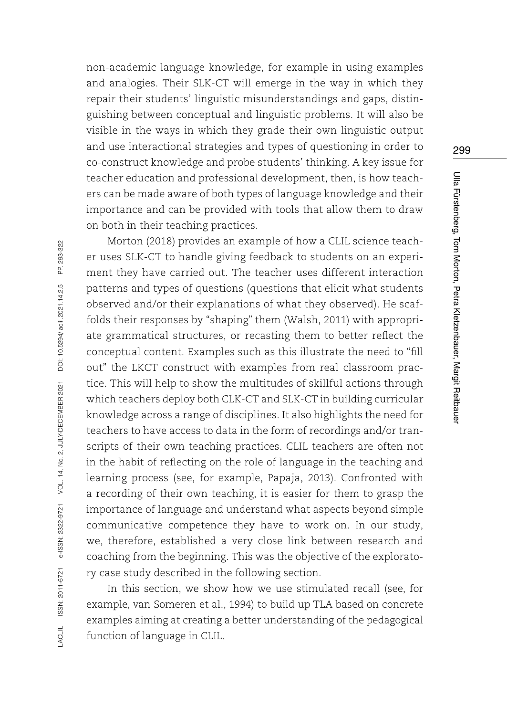non-academic language knowledge, for example in using examples and analogies. Their SLK-CT will emerge in the way in which they repair their students' linguistic misunderstandings and gaps, distinguishing between conceptual and linguistic problems. It will also be visible in the ways in which they grade their own linguistic output and use interactional strategies and types of questioning in order to co-construct knowledge and probe students' thinking. A key issue for teacher education and professional development, then, is how teachers can be made aware of both types of language knowledge and their importance and can be provided with tools that allow them to draw on both in their teaching practices.

Morton (2018) provides an example of how a CLIL science teacher uses SLK-CT to handle giving feedback to students on an experiment they have carried out. The teacher uses different interaction patterns and types of questions (questions that elicit what students observed and/or their explanations of what they observed). He scaffolds their responses by "shaping" them (Walsh, 2011) with appropriate grammatical structures, or recasting them to better reflect the conceptual content. Examples such as this illustrate the need to "fill out" the LKCT construct with examples from real classroom practice. This will help to show the multitudes of skillful actions through which teachers deploy both CLK-CT and SLK-CT in building curricular knowledge across a range of disciplines. It also highlights the need for teachers to have access to data in the form of recordings and/or transcripts of their own teaching practices. CLIL teachers are often not in the habit of reflecting on the role of language in the teaching and learning process (see, for example, Papaja, 2013). Confronted with a recording of their own teaching, it is easier for them to grasp the importance of language and understand what aspects beyond simple communicative competence they have to work on. In our study, we, therefore, established a very close link between research and coaching from the beginning. This was the objective of the exploratory case study described in the following section.

In this section, we show how we use stimulated recall (see, for example, van Someren et al., 1994) to build up TLA based on concrete examples aiming at creating a better understanding of the pedagogical function of language in CLIL.

299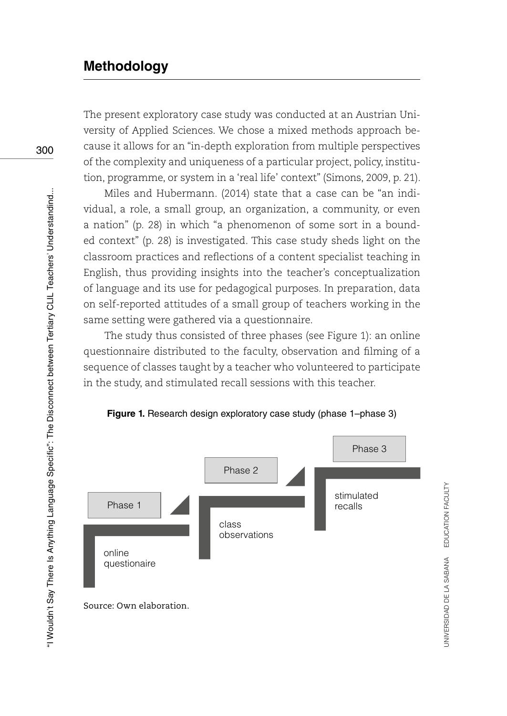# **Methodology**

The present exploratory case study was conducted at an Austrian University of Applied Sciences. We chose a mixed methods approach because it allows for an "in-depth exploration from multiple perspectives of the complexity and uniqueness of a particular project, policy, institution, programme, or system in a 'real life' context" (Simons, 2009, p. 21).

Miles and Hubermann. (2014) state that a case can be "an individual, a role, a small group, an organization, a community, or even a nation" (p. 28) in which "a phenomenon of some sort in a bounded context" (p. 28) is investigated. This case study sheds light on the classroom practices and reflections of a content specialist teaching in English, thus providing insights into the teacher's conceptualization of language and its use for pedagogical purposes. In preparation, data on self-reported attitudes of a small group of teachers working in the same setting were gathered via a questionnaire.

The study thus consisted of three phases (see Figure 1): an online questionnaire distributed to the faculty, observation and filming of a sequence of classes taught by a teacher who volunteered to participate in the study, and stimulated recall sessions with this teacher.



UNIVERSIDAD DE LA SABANA EDUCATION FACULTY

JNIVERSIDAD DE LA SABANA EDUCATION FACULTY

#### Figure 1. Research design exploratory case study (phase 1-phase 3)

300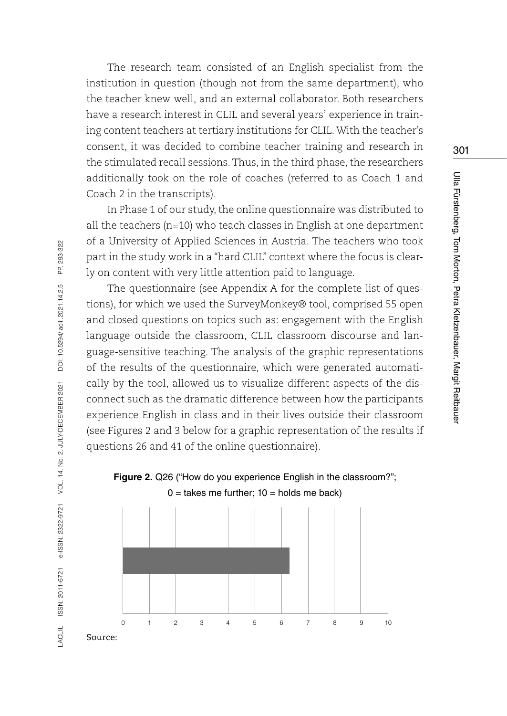The research team consisted of an English specialist from the institution in question (though not from the same department), who the teacher knew well, and an external collaborator. Both researchers have a research interest in CLIL and several years' experience in training content teachers at tertiary institutions for CLIL. With the teacher's consent, it was decided to combine teacher training and research in the stimulated recall sessions. Thus, in the third phase, the researchers additionally took on the role of coaches (referred to as Coach 1 and Coach 2 in the transcripts).

In Phase 1 of our study, the online questionnaire was distributed to all the teachers ( $n=10$ ) who teach classes in English at one department of a University of Applied Sciences in Austria. The teachers who took part in the study work in a "hard CLIL" context where the focus is clearly on content with very little attention paid to language.

The questionnaire (see Appendix A for the complete list of questions), for which we used the SurveyMonkey® tool, comprised 55 open and closed questions on topics such as: engagement with the English language outside the classroom, CLIL classroom discourse and language-sensitive teaching. The analysis of the graphic representations of the results of the questionnaire, which were generated automatically by the tool, allowed us to visualize different aspects of the disconnect such as the dramatic difference between how the participants experience English in class and in their lives outside their classroom (see Figures 2 and 3 below for a graphic representation of the results if questions 26 and 41 of the online questionnaire).





PP. 293-322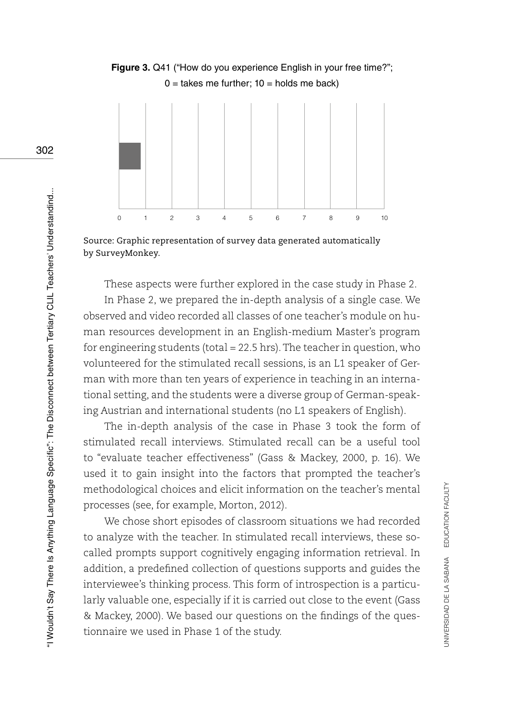

**Figure 3.** Q41 ("How do you experience English in your free time?";  $0 =$  takes me further;  $10 =$  holds me back)

Source: Graphic representation of survey data generated automatically by SurveyMonkey.

These aspects were further explored in the case study in Phase 2.

In Phase 2, we prepared the in-depth analysis of a single case. We observed and video recorded all classes of one teacher's module on human resources development in an English-medium Master's program for engineering students (total = 22.5 hrs). The teacher in question, who volunteered for the stimulated recall sessions, is an L1 speaker of German with more than ten years of experience in teaching in an international setting, and the students were a diverse group of German-speaking Austrian and international students (no L1 speakers of English).

The in-depth analysis of the case in Phase 3 took the form of stimulated recall interviews. Stimulated recall can be a useful tool to "evaluate teacher effectiveness" (Gass & Mackey, 2000, p. 16). We used it to gain insight into the factors that prompted the teacher's methodological choices and elicit information on the teacher's mental processes (see, for example, Morton, 2012).

We chose short episodes of classroom situations we had recorded to analyze with the teacher. In stimulated recall interviews, these socalled prompts support cognitively engaging information retrieval. In addition, a predefined collection of questions supports and guides the interviewee's thinking process. This form of introspection is a particularly valuable one, especially if it is carried out close to the event (Gass & Mackey, 2000). We based our questions on the findings of the questionnaire we used in Phase 1 of the study.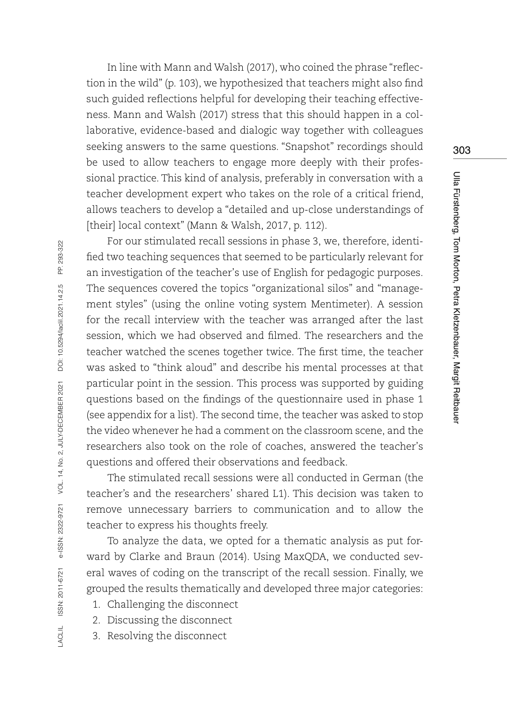In line with Mann and Walsh (2017), who coined the phrase "reflection in the wild" (p. 103), we hypothesized that teachers might also find such guided reflections helpful for developing their teaching effectiveness. Mann and Walsh (2017) stress that this should happen in a collaborative, evidence-based and dialogic way together with colleagues seeking answers to the same questions. "Snapshot" recordings should be used to allow teachers to engage more deeply with their professional practice. This kind of analysis, preferably in conversation with a teacher development expert who takes on the role of a critical friend, allows teachers to develop a "detailed and up-close understandings of [their] local context" (Mann & Walsh, 2017, p. 112).

For our stimulated recall sessions in phase 3, we, therefore, identified two teaching sequences that seemed to be particularly relevant for an investigation of the teacher's use of English for pedagogic purposes. The sequences covered the topics "organizational silos" and "management styles" (using the online voting system Mentimeter). A session for the recall interview with the teacher was arranged after the last session, which we had observed and filmed. The researchers and the teacher watched the scenes together twice. The first time, the teacher was asked to "think aloud" and describe his mental processes at that particular point in the session. This process was supported by guiding questions based on the findings of the questionnaire used in phase 1 (see appendix for a list). The second time, the teacher was asked to stop the video whenever he had a comment on the classroom scene, and the researchers also took on the role of coaches, answered the teacher's questions and offered their observations and feedback.

The stimulated recall sessions were all conducted in German (the teacher's and the researchers' shared L1). This decision was taken to remove unnecessary barriers to communication and to allow the teacher to express his thoughts freely.

To analyze the data, we opted for a thematic analysis as put forward by Clarke and Braun (2014). Using MaxQDA, we conducted several waves of coding on the transcript of the recall session. Finally, we grouped the results thematically and developed three major categories:

- 1. Challenging the disconnect
- 2. Discussing the disconnect
- 3. Resolving the disconnect

LACLIL ISSN: 2011-6721 e-ISSN: 2322-9721 VOL. 14, No. 2, JULY-DECEMBER 2021 DOI: 10.5294/laclil.2021.14.2.5 PP. 293-322

ISSN: 2011-6721 e-ISSN: 2322-9721

**ACLIL** 

VOL. 14, No. 2, JULY-DECEMBER 2021

PP. 293-322

DOI: 10.5294/laciil.2021.14.2.5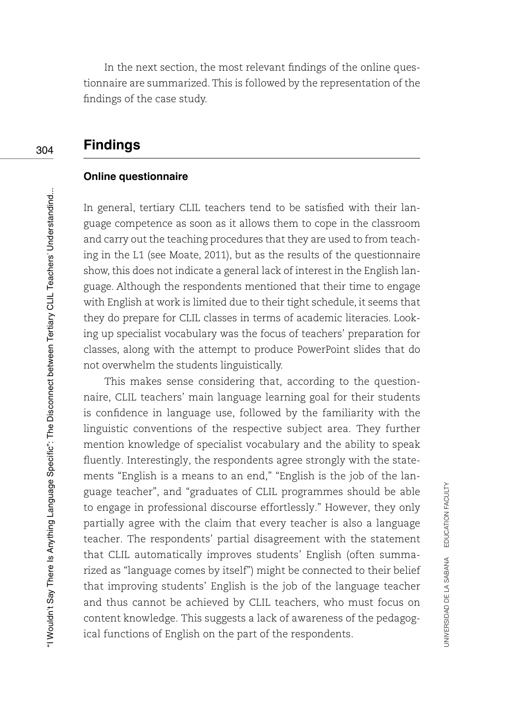In the next section, the most relevant findings of the online questionnaire are summarized. This is followed by the representation of the findings of the case study.

# **Findings**

#### **Online questionnaire**

In general, tertiary CLIL teachers tend to be satisfied with their language competence as soon as it allows them to cope in the classroom and carry out the teaching procedures that they are used to from teaching in the L1 (see Moate, 2011), but as the results of the questionnaire show, this does not indicate a general lack of interest in the English language. Although the respondents mentioned that their time to engage with English at work is limited due to their tight schedule, it seems that they do prepare for CLIL classes in terms of academic literacies. Looking up specialist vocabulary was the focus of teachers' preparation for classes, along with the attempt to produce PowerPoint slides that do not overwhelm the students linguistically.

This makes sense considering that, according to the questionnaire, CLIL teachers' main language learning goal for their students is confidence in language use, followed by the familiarity with the linguistic conventions of the respective subject area. They further mention knowledge of specialist vocabulary and the ability to speak fluently. Interestingly, the respondents agree strongly with the statements "English is a means to an end," "English is the job of the language teacher", and "graduates of CLIL programmes should be able to engage in professional discourse effortlessly." However, they only partially agree with the claim that every teacher is also a language teacher. The respondents' partial disagreement with the statement that CLIL automatically improves students' English (often summarized as "language comes by itself") might be connected to their belief that improving students' English is the job of the language teacher and thus cannot be achieved by CLIL teachers, who must focus on content knowledge. This suggests a lack of awareness of the pedagogical functions of English on the part of the respondents.

304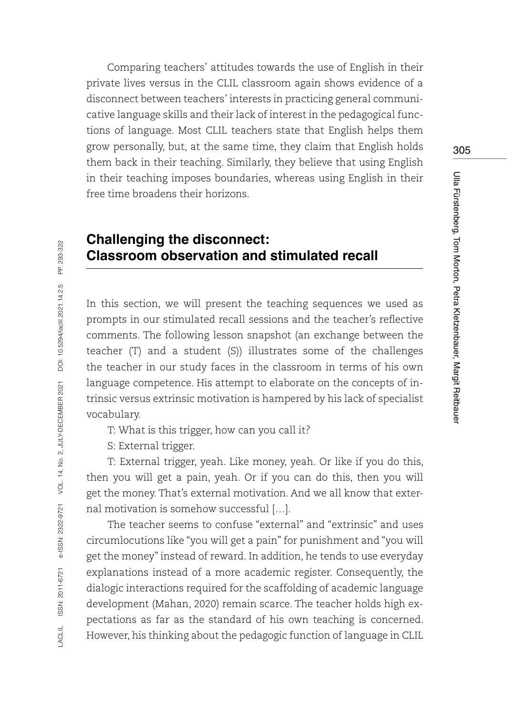Comparing teachers' attitudes towards the use of English in their private lives versus in the CLIL classroom again shows evidence of a disconnect between teachers' interests in practicing general communicative language skills and their lack of interest in the pedagogical functions of language. Most CLIL teachers state that English helps them grow personally, but, at the same time, they claim that English holds them back in their teaching. Similarly, they believe that using English in their teaching imposes boundaries, whereas using English in their free time broadens their horizons.

# **Challenging the disconnect: Classroom observation and stimulated recall**

In this section, we will present the teaching sequences we used as prompts in our stimulated recall sessions and the teacher's reflective comments. The following lesson snapshot (an exchange between the teacher (T) and a student (S)) illustrates some of the challenges the teacher in our study faces in the classroom in terms of his own language competence. His attempt to elaborate on the concepts of intrinsic versus extrinsic motivation is hampered by his lack of specialist vocabulary.

T: What is this trigger, how can you call it?

S: External trigger.

T: External trigger, yeah. Like money, yeah. Or like if you do this, then you will get a pain, yeah. Or if you can do this, then you will get the money. That's external motivation. And we all know that external motivation is somehow successful […].

The teacher seems to confuse "external" and "extrinsic" and uses circumlocutions like "you will get a pain" for punishment and "you will get the money" instead of reward. In addition, he tends to use everyday explanations instead of a more academic register. Consequently, the dialogic interactions required for the scaffolding of academic language development (Mahan, 2020) remain scarce. The teacher holds high expectations as far as the standard of his own teaching is concerned. However, his thinking about the pedagogic function of language in CLIL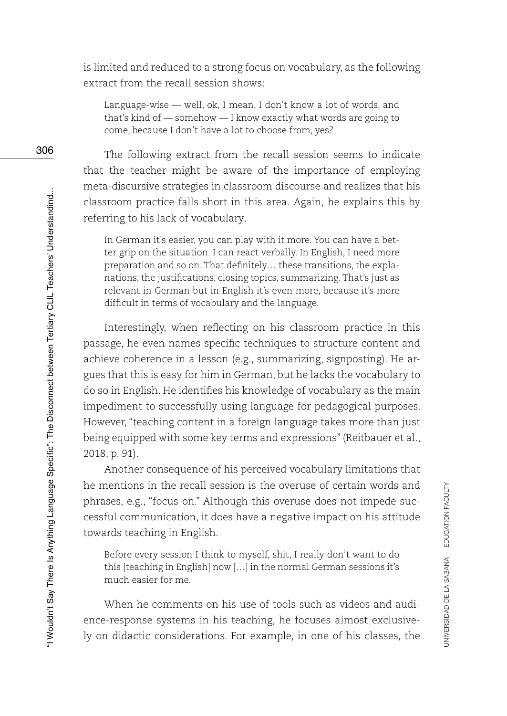is limited and reduced to a strong focus on vocabulary, as the following extract from the recall session shows:

Language-wise — well, ok, I mean, I don't know a lot of words, and that's kind of — somehow — I know exactly what words are going to come, because I don't have a lot to choose from, yes?

The following extract from the recall session seems to indicate that the teacher might be aware of the importance of employing meta-discursive strategies in classroom discourse and realizes that his classroom practice falls short in this area. Again, he explains this by referring to his lack of vocabulary.

In German it's easier, you can play with it more. You can have a better grip on the situation. I can react verbally. In English, I need more preparation and so on. That definitely… these transitions, the explanations, the justifications, closing topics, summarizing. That's just as relevant in German but in English it's even more, because it's more difficult in terms of vocabulary and the language.

Interestingly, when reflecting on his classroom practice in this passage, he even names specific techniques to structure content and achieve coherence in a lesson (e.g., summarizing, signposting). He argues that this is easy for him in German, but he lacks the vocabulary to do so in English. He identifies his knowledge of vocabulary as the main impediment to successfully using language for pedagogical purposes. However, "teaching content in a foreign language takes more than just being equipped with some key terms and expressions" (Reitbauer et al., 2018, p. 91).

Another consequence of his perceived vocabulary limitations that he mentions in the recall session is the overuse of certain words and phrases, e.g., "focus on." Although this overuse does not impede successful communication, it does have a negative impact on his attitude towards teaching in English.

Before every session I think to myself, shit, I really don't want to do this [teaching in English] now […] in the normal German sessions it's much easier for me.

When he comments on his use of tools such as videos and audience-response systems in his teaching, he focuses almost exclusively on didactic considerations. For example, in one of his classes, the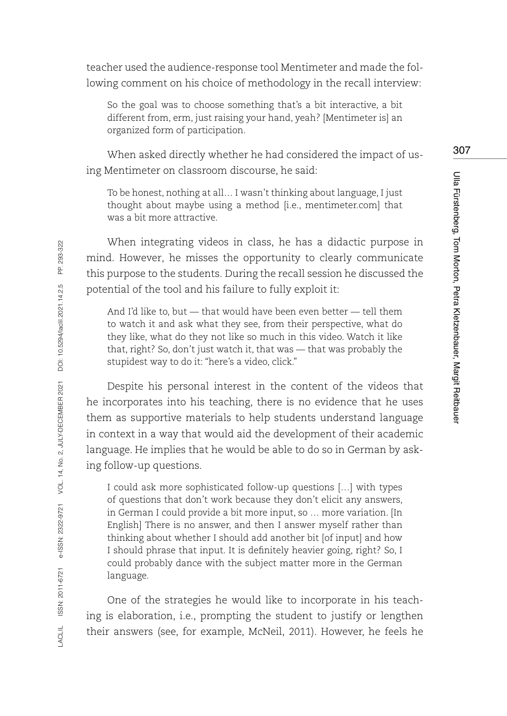teacher used the audience-response tool Mentimeter and made the following comment on his choice of methodology in the recall interview:

So the goal was to choose something that's a bit interactive, a bit different from, erm, just raising your hand, yeah? [Mentimeter is] an organized form of participation.

When asked directly whether he had considered the impact of using Mentimeter on classroom discourse, he said:

To be honest, nothing at all… I wasn't thinking about language, I just thought about maybe using a method [i.e., mentimeter.com] that was a bit more attractive.

When integrating videos in class, he has a didactic purpose in mind. However, he misses the opportunity to clearly communicate this purpose to the students. During the recall session he discussed the potential of the tool and his failure to fully exploit it:

And I'd like to, but — that would have been even better — tell them to watch it and ask what they see, from their perspective, what do they like, what do they not like so much in this video. Watch it like that, right? So, don't just watch it, that was — that was probably the stupidest way to do it: "here's a video, click."

Despite his personal interest in the content of the videos that he incorporates into his teaching, there is no evidence that he uses them as supportive materials to help students understand language in context in a way that would aid the development of their academic language. He implies that he would be able to do so in German by asking follow-up questions.

I could ask more sophisticated follow-up questions […] with types of questions that don't work because they don't elicit any answers, in German I could provide a bit more input, so … more variation. [In English] There is no answer, and then I answer myself rather than thinking about whether I should add another bit [of input] and how I should phrase that input. It is definitely heavier going, right? So, I could probably dance with the subject matter more in the German language.

One of the strategies he would like to incorporate in his teaching is elaboration, i.e., prompting the student to justify or lengthen their answers (see, for example, McNeil, 2011). However, he feels he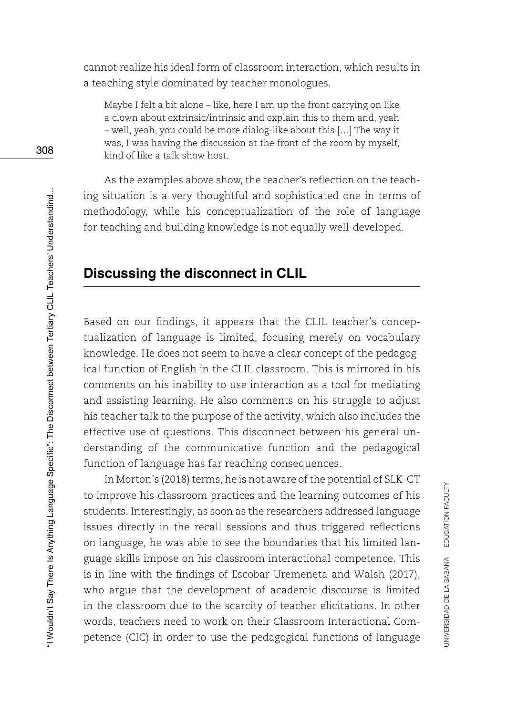cannot realize his ideal form of classroom interaction, which results in a teaching style dominated by teacher monologues.

Maybe I felt a bit alone – like, here I am up the front carrying on like a clown about extrinsic/intrinsic and explain this to them and, yeah – well, yeah, you could be more dialog-like about this […] The way it was, I was having the discussion at the front of the room by myself, kind of like a talk show host.

As the examples above show, the teacher's reflection on the teaching situation is a very thoughtful and sophisticated one in terms of methodology, while his conceptualization of the role of language for teaching and building knowledge is not equally well-developed.

# **Discussing the disconnect in CLIL**

Based on our findings, it appears that the CLIL teacher's conceptualization of language is limited, focusing merely on vocabulary knowledge. He does not seem to have a clear concept of the pedagogical function of English in the CLIL classroom. This is mirrored in his comments on his inability to use interaction as a tool for mediating and assisting learning. He also comments on his struggle to adjust his teacher talk to the purpose of the activity, which also includes the effective use of questions. This disconnect between his general understanding of the communicative function and the pedagogical function of language has far reaching consequences.

In Morton's (2018) terms, he is not aware of the potential of SLK-CT to improve his classroom practices and the learning outcomes of his students. Interestingly, as soon as the researchers addressed language issues directly in the recall sessions and thus triggered reflections on language, he was able to see the boundaries that his limited language skills impose on his classroom interactional competence. This is in line with the findings of Escobar-Uremeneta and Walsh (2017), who argue that the development of academic discourse is limited in the classroom due to the scarcity of teacher elicitations. In other words, teachers need to work on their Classroom Interactional Competence (CIC) in order to use the pedagogical functions of language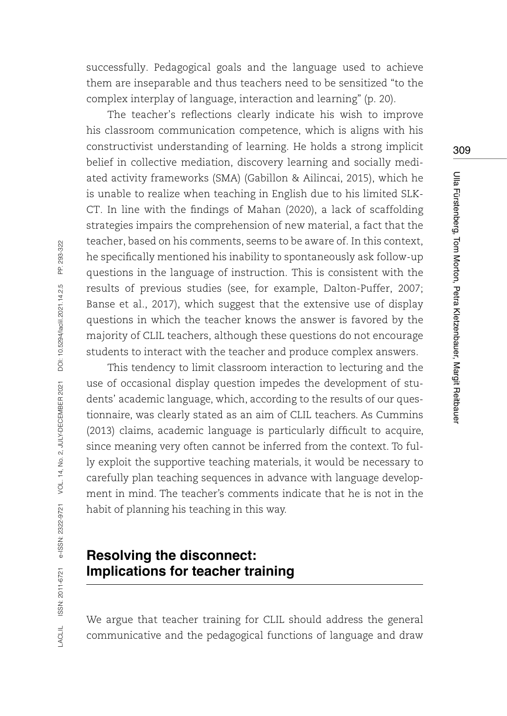successfully. Pedagogical goals and the language used to achieve them are inseparable and thus teachers need to be sensitized "to the complex interplay of language, interaction and learning" (p. 20).

The teacher's reflections clearly indicate his wish to improve his classroom communication competence, which is aligns with his constructivist understanding of learning. He holds a strong implicit belief in collective mediation, discovery learning and socially mediated activity frameworks (SMA) (Gabillon & Ailincai, 2015), which he is unable to realize when teaching in English due to his limited SLK-CT. In line with the findings of Mahan (2020), a lack of scaffolding strategies impairs the comprehension of new material, a fact that the teacher, based on his comments, seems to be aware of. In this context, he specifically mentioned his inability to spontaneously ask follow-up questions in the language of instruction. This is consistent with the results of previous studies (see, for example, Dalton-Puffer, 2007; Banse et al., 2017), which suggest that the extensive use of display questions in which the teacher knows the answer is favored by the majority of CLIL teachers, although these questions do not encourage students to interact with the teacher and produce complex answers.

This tendency to limit classroom interaction to lecturing and the use of occasional display question impedes the development of students' academic language, which, according to the results of our questionnaire, was clearly stated as an aim of CLIL teachers. As Cummins (2013) claims, academic language is particularly difficult to acquire, since meaning very often cannot be inferred from the context. To fully exploit the supportive teaching materials, it would be necessary to carefully plan teaching sequences in advance with language development in mind. The teacher's comments indicate that he is not in the habit of planning his teaching in this way.

# **Resolving the disconnect: Implications for teacher training**

We argue that teacher training for CLIL should address the general communicative and the pedagogical functions of language and draw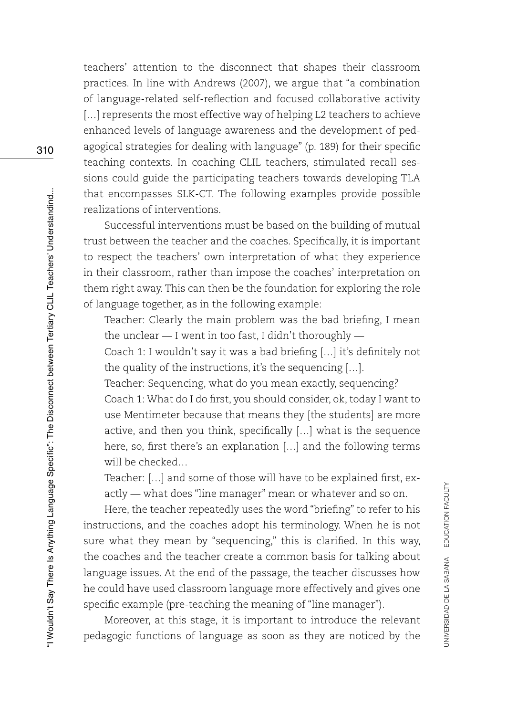teachers' attention to the disconnect that shapes their classroom practices. In line with Andrews (2007), we argue that "a combination of language-related self-reflection and focused collaborative activity [...] represents the most effective way of helping L2 teachers to achieve enhanced levels of language awareness and the development of pedagogical strategies for dealing with language" (p. 189) for their specific teaching contexts. In coaching CLIL teachers, stimulated recall sessions could guide the participating teachers towards developing TLA that encompasses SLK-CT. The following examples provide possible realizations of interventions.

Successful interventions must be based on the building of mutual trust between the teacher and the coaches. Specifically, it is important to respect the teachers' own interpretation of what they experience in their classroom, rather than impose the coaches' interpretation on them right away. This can then be the foundation for exploring the role of language together, as in the following example:

Teacher: Clearly the main problem was the bad briefing, I mean the unclear — I went in too fast, I didn't thoroughly —

Coach 1: I wouldn't say it was a bad briefing […] it's definitely not the quality of the instructions, it's the sequencing […].

Teacher: Sequencing, what do you mean exactly, sequencing? Coach 1: What do I do first, you should consider, ok, today I want to use Mentimeter because that means they [the students] are more active, and then you think, specifically […] what is the sequence here, so, first there's an explanation […] and the following terms will be checked…

Teacher: […] and some of those will have to be explained first, exactly — what does "line manager" mean or whatever and so on.

Here, the teacher repeatedly uses the word "briefing" to refer to his instructions, and the coaches adopt his terminology. When he is not sure what they mean by "sequencing," this is clarified. In this way, the coaches and the teacher create a common basis for talking about language issues. At the end of the passage, the teacher discusses how he could have used classroom language more effectively and gives one specific example (pre-teaching the meaning of "line manager").

Moreover, at this stage, it is important to introduce the relevant pedagogic functions of language as soon as they are noticed by the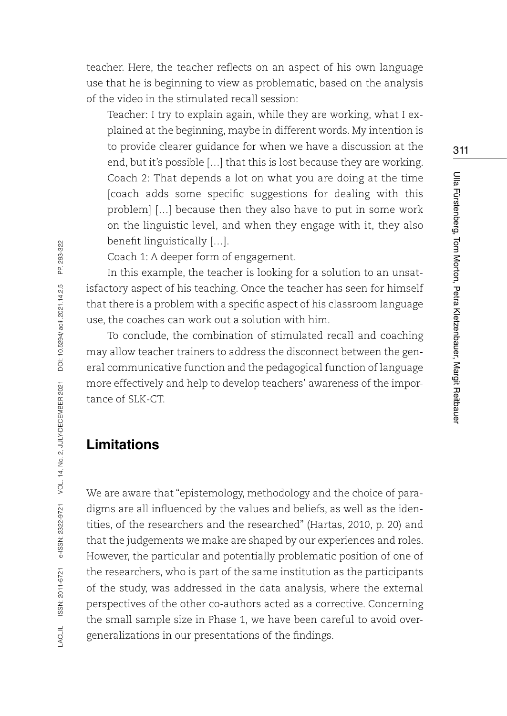teacher. Here, the teacher reflects on an aspect of his own language use that he is beginning to view as problematic, based on the analysis of the video in the stimulated recall session:

Teacher: I try to explain again, while they are working, what I explained at the beginning, maybe in different words. My intention is to provide clearer guidance for when we have a discussion at the end, but it's possible […] that this is lost because they are working. Coach 2: That depends a lot on what you are doing at the time [coach adds some specific suggestions for dealing with this problem] […] because then they also have to put in some work on the linguistic level, and when they engage with it, they also benefit linguistically […].

Coach 1: A deeper form of engagement.

In this example, the teacher is looking for a solution to an unsatisfactory aspect of his teaching. Once the teacher has seen for himself that there is a problem with a specific aspect of his classroom language use, the coaches can work out a solution with him.

To conclude, the combination of stimulated recall and coaching may allow teacher trainers to address the disconnect between the general communicative function and the pedagogical function of language more effectively and help to develop teachers' awareness of the importance of SLK-CT.

# **Limitations**

We are aware that "epistemology, methodology and the choice of paradigms are all influenced by the values and beliefs, as well as the identities, of the researchers and the researched" (Hartas, 2010, p. 20) and that the judgements we make are shaped by our experiences and roles. However, the particular and potentially problematic position of one of the researchers, who is part of the same institution as the participants of the study, was addressed in the data analysis, where the external perspectives of the other co-authors acted as a corrective. Concerning the small sample size in Phase 1, we have been careful to avoid overgeneralizations in our presentations of the findings.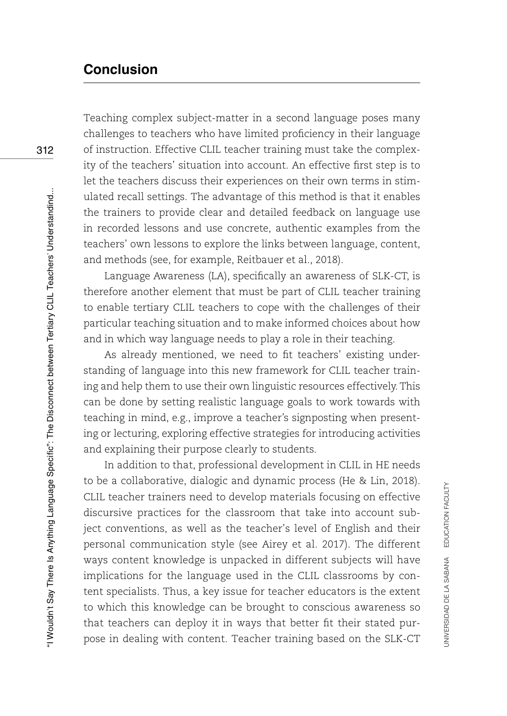# **Conclusion**

Teaching complex subject-matter in a second language poses many challenges to teachers who have limited proficiency in their language of instruction. Effective CLIL teacher training must take the complexity of the teachers' situation into account. An effective first step is to let the teachers discuss their experiences on their own terms in stimulated recall settings. The advantage of this method is that it enables the trainers to provide clear and detailed feedback on language use in recorded lessons and use concrete, authentic examples from the teachers' own lessons to explore the links between language, content, and methods (see, for example, Reitbauer et al., 2018).

Language Awareness (LA), specifically an awareness of SLK-CT, is therefore another element that must be part of CLIL teacher training to enable tertiary CLIL teachers to cope with the challenges of their particular teaching situation and to make informed choices about how and in which way language needs to play a role in their teaching.

As already mentioned, we need to fit teachers' existing understanding of language into this new framework for CLIL teacher training and help them to use their own linguistic resources effectively. This can be done by setting realistic language goals to work towards with teaching in mind, e.g., improve a teacher's signposting when presenting or lecturing, exploring effective strategies for introducing activities and explaining their purpose clearly to students.

In addition to that, professional development in CLIL in HE needs to be a collaborative, dialogic and dynamic process (He & Lin, 2018). CLIL teacher trainers need to develop materials focusing on effective discursive practices for the classroom that take into account subject conventions, as well as the teacher's level of English and their personal communication style (see Airey et al. 2017). The different ways content knowledge is unpacked in different subjects will have implications for the language used in the CLIL classrooms by content specialists. Thus, a key issue for teacher educators is the extent to which this knowledge can be brought to conscious awareness so that teachers can deploy it in ways that better fit their stated purpose in dealing with content. Teacher training based on the SLK-CT

UNIVERSIDAD DE LA SABANA EDUCATION FACULTY

JNIVERSIDAD DE LA SABANA EDUCATION FACULTY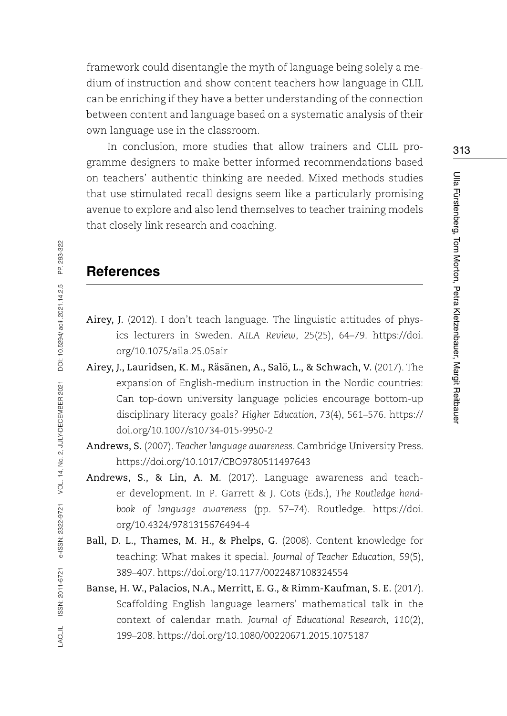framework could disentangle the myth of language being solely a medium of instruction and show content teachers how language in CLIL can be enriching if they have a better understanding of the connection between content and language based on a systematic analysis of their own language use in the classroom.

In conclusion, more studies that allow trainers and CLIL programme designers to make better informed recommendations based on teachers' authentic thinking are needed. Mixed methods studies that use stimulated recall designs seem like a particularly promising avenue to explore and also lend themselves to teacher training models that closely link research and coaching.

#### **References**

- Airey, J. (2012). I don't teach language. The linguistic attitudes of physics lecturers in Sweden. *AILA Review*, *25*(25), 64–79. [https://doi.](https://doi.org/10.1075/aila.25.05air) [org/10.1075/aila.25.05air](https://doi.org/10.1075/aila.25.05air)
- Airey, J., Lauridsen, K. M., Räsänen, A., Salö, L., & Schwach, V. (2017). The expansion of English-medium instruction in the Nordic countries: Can top-down university language policies encourage bottom-up disciplinary literacy goals? *Higher Education*, 73(4), 561–576. [https://](https://doi.org/10.1007/s10734-015-9950-2) [doi.org/10.1007/s10734-015-9950-2](https://doi.org/10.1007/s10734-015-9950-2)
- Andrews, S. (2007). *Teacher language awareness*. Cambridge University Press. <https://doi.org/10.1017/CBO9780511497643>
- Andrews, S., & Lin, A. M. (2017). Language awareness and teacher development. In P. Garrett & J. Cots (Eds.), *The Routledge handbook of language awareness* (pp. 57–74). Routledge. [https://doi.](https://doi.org/10.4324/9781315676494-4) [org/10.4324/9781315676494-4](https://doi.org/10.4324/9781315676494-4)
- Ball, D. L., Thames, M. H., & Phelps, G. (2008). Content knowledge for teaching: What makes it special. *Journal of Teacher Education*, *59*(5), 389–407. <https://doi.org/10.1177/0022487108324554>
- Banse, H. W., Palacios, N.A., Merritt, E. G., & Rimm-Kaufman, S. E. (2017). Scaffolding English language learners' mathematical talk in the context of calendar math. *Journal of Educational Research*, *110*(2), 199–208. <https://doi.org/10.1080/00220671.2015.1075187>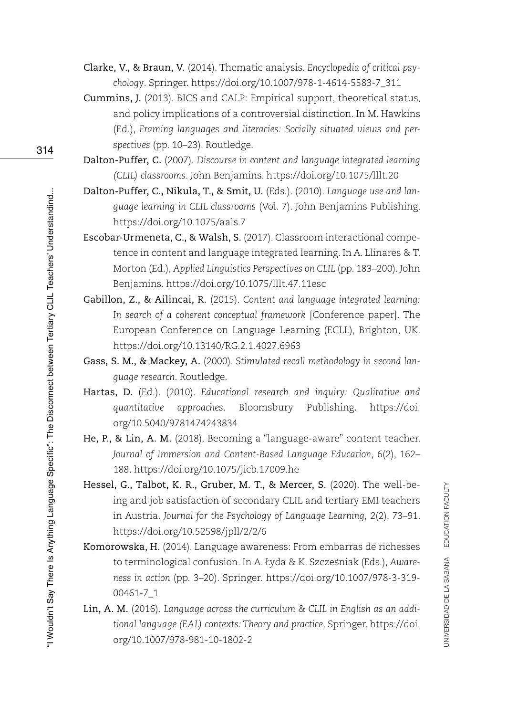- Clarke, V., & Braun, V. (2014). Thematic analysis. *Encyclopedia of critical psychology*. Springer. [https://doi.org/10.1007/978-1-4614-5583-7\\_311](https://doi.org/10.1007/978-1-4614-5583-7_311)
- Cummins, J. (2013). BICS and CALP: Empirical support, theoretical status, and policy implications of a controversial distinction. In M. Hawkins (Ed.), *Framing languages and literacies: Socially situated views and perspectives* (pp. 10–23). Routledge.
- Dalton-Puffer, C. (2007). *Discourse in content and language integrated learning (CLIL) classrooms*. John Benjamins.<https://doi.org/10.1075/lllt.20>
- Dalton-Puffer, C., Nikula, T., & Smit, U. (Eds.). (2010). *Language use and language learning in CLIL classrooms* (Vol. 7). John Benjamins Publishing. <https://doi.org/10.1075/aals.7>
- Escobar-Urmeneta, C., & Walsh, S. (2017). Classroom interactional competence in content and language integrated learning. In A. Llinares & T. Morton (Ed.), *Applied Linguistics Perspectives on CLIL* (pp. 183–200). John Benjamins. <https://doi.org/10.1075/lllt.47.11esc>
- Gabillon, Z., & Ailincai, R. (2015). *Content and language integrated learning: In search of a coherent conceptual framework* [Conference paper]. The European Conference on Language Learning (ECLL), Brighton, UK. <https://doi.org/10.13140/RG.2.1.4027.6963>
- Gass, S. M., & Mackey, A. (2000). *Stimulated recall methodology in second language research*. Routledge.
- Hartas, D. (Ed.). (2010). *Educational research and inquiry: Qualitative and quantitative approaches*. Bloomsbury Publishing. [https://doi.](https://doi.org/10.5040/9781474243834) [org/10.5040/9781474243834](https://doi.org/10.5040/9781474243834)
- He, P., & Lin, A. M. (2018). Becoming a "language-aware" content teacher. *Journal of Immersion and Content-Based Language Education*, *6*(2), 162– 188.<https://doi.org/10.1075/jicb.17009.he>
- Hessel, G., Talbot, K. R., Gruber, M. T., & Mercer, S. (2020). The well-being and job satisfaction of secondary CLIL and tertiary EMI teachers in Austria. *Journal for the Psychology of Language Learning*, *2*(2), 73–91. <https://doi.org/10.52598/jpll/2/2/6>
- Komorowska, H. (2014). Language awareness: From embarras de richesses to terminological confusion. In A. Łyda & K. Szczesniak (Eds.), *Awareness in action* (pp. 3–20). Springer. [https://doi.org/10.1007/978-3-319-](https://doi.org/10.1007/978-3-319-00461-7_1) [00461-7\\_1](https://doi.org/10.1007/978-3-319-00461-7_1)
- Lin, A. M. (2016). *Language across the curriculum & CLIL in English as an additional language (EAL) contexts: Theory and practice*. Springer. [https://doi.](https://doi.org/10.1007/978-981-10-1802-2) [org/10.1007/978-981-10-1802-2](https://doi.org/10.1007/978-981-10-1802-2)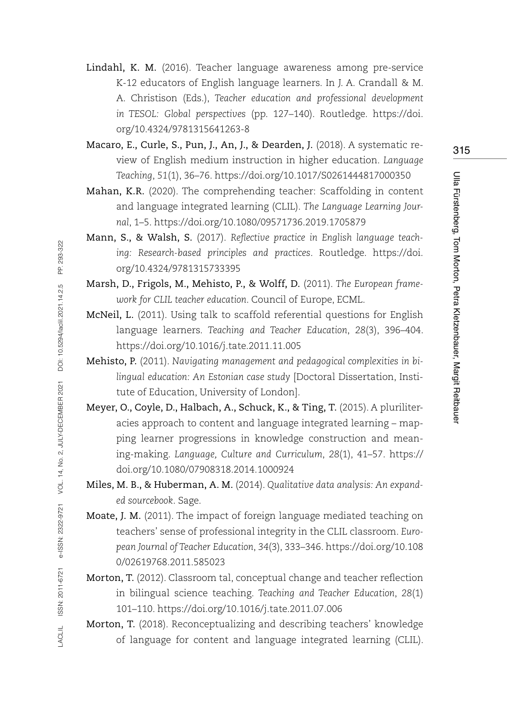- Lindahl, K. M. (2016). Teacher language awareness among pre-service K-12 educators of English language learners. In J. A. Crandall & M. A. Christison (Eds.), *Teacher education and professional development in TESOL: Global perspectives* (pp. 127–140). Routledge. [https://doi.](https://doi.org/10.4324/9781315641263-8) [org/10.4324/9781315641263-8](https://doi.org/10.4324/9781315641263-8)
- Macaro, E., Curle, S., Pun, J., An, J., & Dearden, J. (2018). A systematic review of English medium instruction in higher education. *Language Teaching*, *51*(1), 36–76.<https://doi.org/10.1017/S0261444817000350>
- Mahan, K.R. (2020). The comprehending teacher: Scaffolding in content and language integrated learning (CLIL). *The Language Learning Journal*, 1–5. <https://doi.org/10.1080/09571736.2019.1705879>
- Mann, S., & Walsh, S. (2017). *Reflective practice in English language teaching: Research-based principles and practices*. Routledge. [https://doi.](https://doi.org/10.4324/9781315733395) [org/10.4324/9781315733395](https://doi.org/10.4324/9781315733395)
- Marsh, D., Frigols, M., Mehisto, P., & Wolff, D. (2011). *The European framework for CLIL teacher education*. Council of Europe, ECML.
- McNeil, L. (2011). Using talk to scaffold referential questions for English language learners. *Teaching and Teacher Education*, *28*(3), 396–404. <https://doi.org/10.1016/j.tate.2011.11.005>
- Mehisto, P. (2011). *Navigating management and pedagogical complexities in bilingual education: An Estonian case study* [Doctoral Dissertation, Institute of Education, University of London].
- Meyer, O., Coyle, D., Halbach, A., Schuck, K., & Ting, T. (2015). A pluriliteracies approach to content and language integrated learning – mapping learner progressions in knowledge construction and meaning-making. *Language, Culture and Curriculum*, *28*(1), 41–57. [https://](https://doi.org/10.1080/07908318.2014.1000924) [doi.org/10.1080/07908318.2014.1000924](https://doi.org/10.1080/07908318.2014.1000924)
- Miles, M. B., & Huberman, A. M. (2014). *Qualitative data analysis: An expanded sourcebook*. Sage.
- Moate, J. M. (2011). The impact of foreign language mediated teaching on teachers' sense of professional integrity in the CLIL classroom. *European Journal of Teacher Education*, *34*(3), 333–346. [https://doi.org/10.108](https://doi.org/10.1080/02619768.2011.585023) [0/02619768.2011.585023](https://doi.org/10.1080/02619768.2011.585023)
- Morton, T. (2012). Classroom tal, conceptual change and teacher reflection in bilingual science teaching. *Teaching and Teacher Education*, *28*(1) 101–110. <https://doi.org/10.1016/j.tate.2011.07.006>
- Morton, T. (2018). Reconceptualizing and describing teachers' knowledge of language for content and language integrated learning (CLIL).

Ulla Fürstenberg, Tom Morton, Petra Kletzenbauer, Margit Reitbauer

Ulla Fürstenberg, Tom Morton, Petra Kletzenbauer, Margit Reitbauer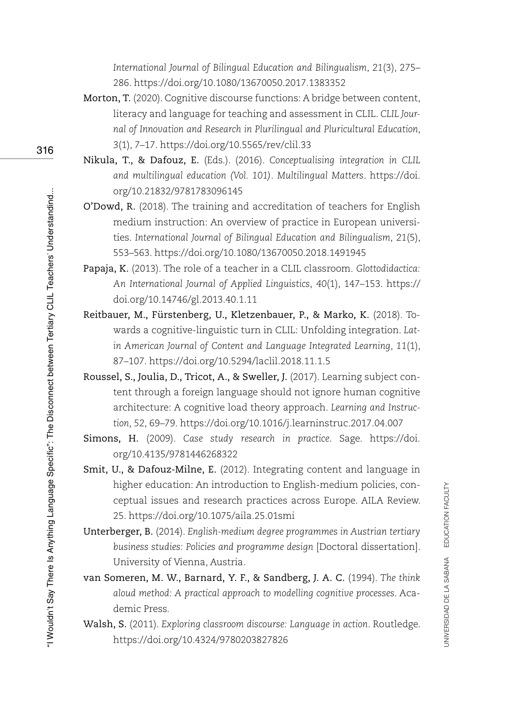*International Journal of Bilingual Education and Bilingualism*, *21*(3), 275– 286.<https://doi.org/10.1080/13670050.2017.1383352>

- Morton, T. (2020). Cognitive discourse functions: A bridge between content, literacy and language for teaching and assessment in CLIL. *CLIL Journal of Innovation and Research in Plurilingual and Pluricultural Education*, *3*(1), 7–17.<https://doi.org/10.5565/rev/clil.33>
- Nikula, T., & Dafouz, E. (Eds.). (2016). *Conceptualising integration in CLIL and multilingual education (Vol. 101). Multilingual Matters*. [https://doi.](https://doi.org/10.21832/9781783096145) [org/10.21832/9781783096145](https://doi.org/10.21832/9781783096145)
- O'Dowd, R. (2018). The training and accreditation of teachers for English medium instruction: An overview of practice in European universities. *International Journal of Bilingual Education and Bilingualism*, *21*(5), 553–563. <https://doi.org/10.1080/13670050.2018.1491945>
- Papaja, K. (2013). The role of a teacher in a CLIL classroom. *Glottodidactica: An International Journal of Applied Linguistics*, *40*(1), 147–153. [https://](https://doi.org/10.14746/gl.2013.40.1.11) [doi.org/10.14746/gl.2013.40.1.11](https://doi.org/10.14746/gl.2013.40.1.11)
- Reitbauer, M., Fürstenberg, U., Kletzenbauer, P., & Marko, K. (2018). Towards a cognitive-linguistic turn in CLIL: Unfolding integration. *Latin American Journal of Content and Language Integrated Learning*, *11*(1), 87–107. <https://doi.org/10.5294/laclil.2018.11.1.5>
- Roussel, S., Joulia, D., Tricot, A., & Sweller, J. (2017). Learning subject content through a foreign language should not ignore human cognitive architecture: A cognitive load theory approach. *Learning and Instruction*, *52*, 69–79.<https://doi.org/10.1016/j.learninstruc.2017.04.007>
- Simons, H. (2009). *Case study research in practice*. Sage. [https://doi.](https://doi.org/10.4135/9781446268322) [org/10.4135/9781446268322](https://doi.org/10.4135/9781446268322)
- Smit, U., & Dafouz-Milne, E. (2012). Integrating content and language in higher education: An introduction to English-medium policies, conceptual issues and research practices across Europe. AILA Review. 25.<https://doi.org/10.1075/aila.25.01smi>
- Unterberger, B. (2014). *English-medium degree programmes in Austrian tertiary business studies: Policies and programme design* [Doctoral dissertation]. University of Vienna, Austria.
- van Someren, M. W., Barnard, Y. F., & Sandberg, J. A. C. (1994). *The think aloud method: A practical approach to modelling cognitive processes*. Academic Press.
- Walsh, S. (2011). *Exploring classroom discourse: Language in action*. Routledge. <https://doi.org/10.4324/9780203827826>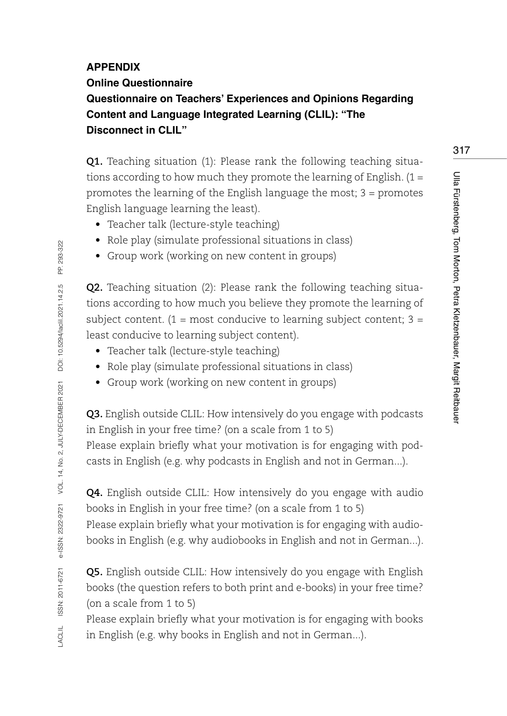#### **APPENDIX**

#### **Online Questionnaire**

**Questionnaire on Teachers' Experiences and Opinions Regarding Content and Language Integrated Learning (CLIL): "The Disconnect in CLIL"**

**Q1.** Teaching situation (1): Please rank the following teaching situations according to how much they promote the learning of English.  $(1 =$ promotes the learning of the English language the most; 3 = promotes English language learning the least).

- Teacher talk (lecture-style teaching)
- Role play (simulate professional situations in class)
- Group work (working on new content in groups)

**Q2.** Teaching situation (2): Please rank the following teaching situations according to how much you believe they promote the learning of subject content.  $(1 = \text{most conductive to learning subject content}; 3 =$ least conducive to learning subject content).

- Teacher talk (lecture-style teaching)
- Role play (simulate professional situations in class)
- Group work (working on new content in groups)

**Q3.** English outside CLIL: How intensively do you engage with podcasts in English in your free time? (on a scale from 1 to 5) Please explain briefly what your motivation is for engaging with podcasts in English (e.g. why podcasts in English and not in German...).

**Q4.** English outside CLIL: How intensively do you engage with audio books in English in your free time? (on a scale from 1 to 5) Please explain briefly what your motivation is for engaging with audiobooks in English (e.g. why audiobooks in English and not in German...).

**Q5.** English outside CLIL: How intensively do you engage with English books (the question refers to both print and e-books) in your free time? (on a scale from 1 to 5)

Please explain briefly what your motivation is for engaging with books in English (e.g. why books in English and not in German...).

Ulla Fürstenberg, Tom Morton, Petra Kletzenbauer, Margit Reitbauer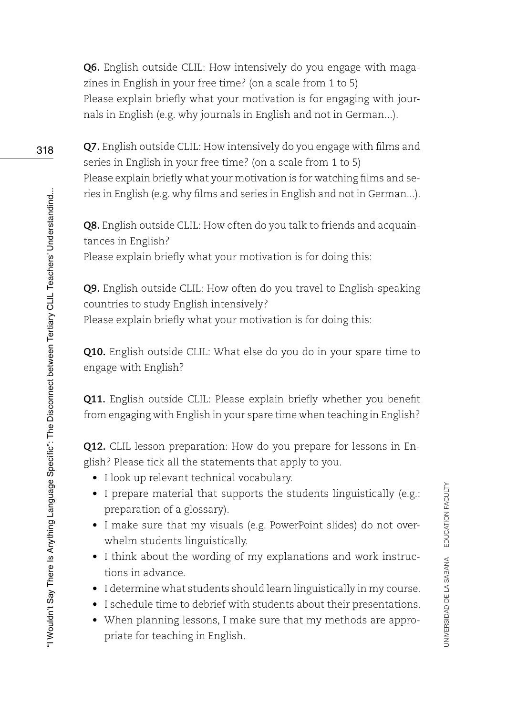**Q6.** English outside CLIL: How intensively do you engage with magazines in English in your free time? (on a scale from 1 to 5) Please explain briefly what your motivation is for engaging with journals in English (e.g. why journals in English and not in German...).

**Q7.** English outside CLIL: How intensively do you engage with films and series in English in your free time? (on a scale from 1 to 5) Please explain briefly what your motivation is for watching films and series in English (e.g. why films and series in English and not in German...).

**Q8.** English outside CLIL: How often do you talk to friends and acquaintances in English?

Please explain briefly what your motivation is for doing this:

**Q9.** English outside CLIL: How often do you travel to English-speaking countries to study English intensively? Please explain briefly what your motivation is for doing this:

**Q10.** English outside CLIL: What else do you do in your spare time to engage with English?

**Q11.** English outside CLIL: Please explain briefly whether you benefit from engaging with English in your spare time when teaching in English?

**Q12.** CLIL lesson preparation: How do you prepare for lessons in English? Please tick all the statements that apply to you.

- I look up relevant technical vocabulary.
- I prepare material that supports the students linguistically (e.g.: preparation of a glossary).
- I make sure that my visuals (e.g. PowerPoint slides) do not overwhelm students linguistically.
- I think about the wording of my explanations and work instructions in advance.

UNIVERSIDAD DE LA SABANA EDUCATION FACULTY

UNIVERSIDAD DE LA SABANA EDUCATION FACULTY

- I determine what students should learn linguistically in my course.
- I schedule time to debrief with students about their presentations.
- When planning lessons, I make sure that my methods are appropriate for teaching in English.

318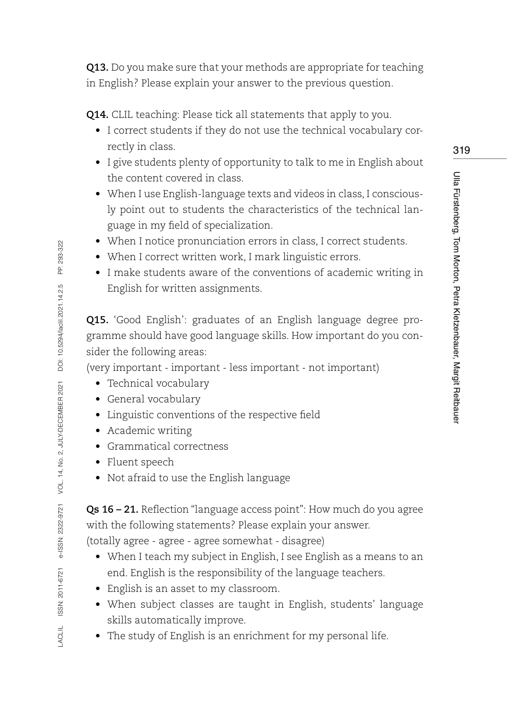**Q13.** Do you make sure that your methods are appropriate for teaching in English? Please explain your answer to the previous question.

**Q14.** CLIL teaching: Please tick all statements that apply to you.

- I correct students if they do not use the technical vocabulary correctly in class.
- I give students plenty of opportunity to talk to me in English about the content covered in class.
- When I use English-language texts and videos in class, I consciously point out to students the characteristics of the technical language in my field of specialization.
- When I notice pronunciation errors in class, I correct students.
- When I correct written work, I mark linguistic errors.
- I make students aware of the conventions of academic writing in English for written assignments.

**Q15.** 'Good English': graduates of an English language degree programme should have good language skills. How important do you consider the following areas:

(very important - important - less important - not important)

- Technical vocabulary
- General vocabulary
- Linguistic conventions of the respective field
- Academic writing
- Grammatical correctness
- Fluent speech
- Not afraid to use the English language

**Qs 16 – 21.** Reflection "language access point": How much do you agree with the following statements? Please explain your answer.

(totally agree - agree - agree somewhat - disagree)

- When I teach my subject in English, I see English as a means to an end. English is the responsibility of the language teachers.
- English is an asset to my classroom.
- When subject classes are taught in English, students' language skills automatically improve.
- The study of English is an enrichment for my personal life.

Ulla Fürstenberg, Tom Morton, Petra Kletzenbauer, Margit Reitbauer

Ulla Fürstenberg, Tom Morton, Petra Kletzenbauer, Margit Reitbaue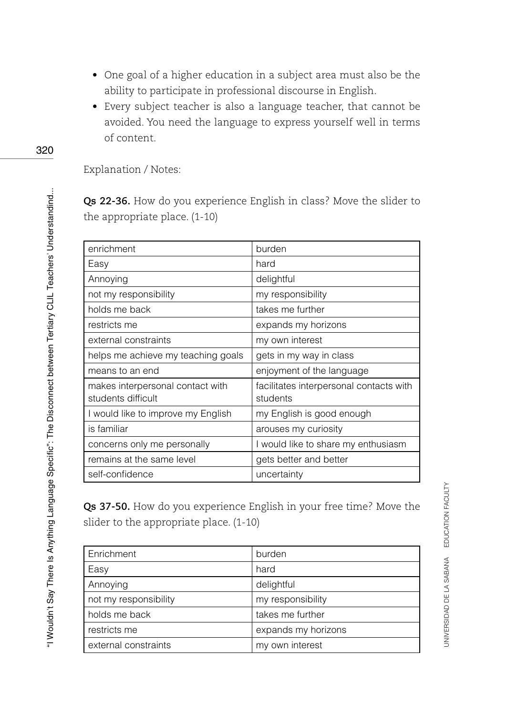- One goal of a higher education in a subject area must also be the ability to participate in professional discourse in English.
- Every subject teacher is also a language teacher, that cannot be avoided. You need the language to express yourself well in terms of content.

Explanation / Notes:

**Qs 22-36.** How do you experience English in class? Move the slider to the appropriate place. (1-10)

| enrichment                         | burden                                  |
|------------------------------------|-----------------------------------------|
| Easy                               | hard                                    |
| Annoying                           | delightful                              |
| not my responsibility              | my responsibility                       |
| holds me back                      | takes me further                        |
| restricts me                       | expands my horizons                     |
| external constraints               | my own interest                         |
| helps me achieve my teaching goals | gets in my way in class                 |
| means to an end                    | enjoyment of the language               |
| makes interpersonal contact with   | facilitates interpersonal contacts with |
| students difficult                 | students                                |
| I would like to improve my English | my English is good enough               |
| is familiar                        | arouses my curiosity                    |
| concerns only me personally        | I would like to share my enthusiasm     |
| remains at the same level          | gets better and better                  |
| self-confidence                    | uncertainty                             |

**Qs 37-50.** How do you experience English in your free time? Move the slider to the appropriate place. (1-10)

| Enrichment            | burden              |
|-----------------------|---------------------|
| Easy                  | hard                |
| Annoying              | delightful          |
| not my responsibility | my responsibility   |
| holds me back         | takes me further    |
| restricts me          | expands my horizons |
| external constraints  | my own interest     |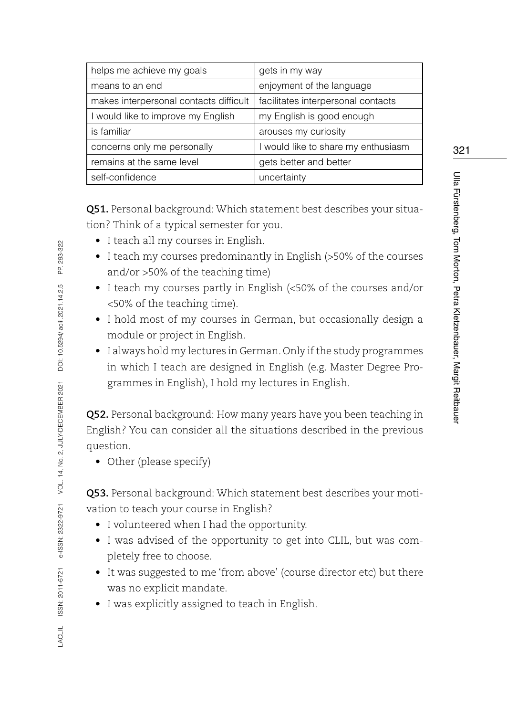| helps me achieve my goals              | gets in my way                      |
|----------------------------------------|-------------------------------------|
| means to an end                        | enjoyment of the language           |
| makes interpersonal contacts difficult | facilitates interpersonal contacts  |
| I would like to improve my English     | my English is good enough           |
| is familiar                            | arouses my curiosity                |
| concerns only me personally            | I would like to share my enthusiasm |
| remains at the same level              | gets better and better              |
| self-confidence                        | uncertainty                         |

**Q51.** Personal background: Which statement best describes your situation? Think of a typical semester for you.

- I teach all my courses in English.
- I teach my courses predominantly in English (>50% of the courses and/or >50% of the teaching time)
- I teach my courses partly in English (<50% of the courses and/or <50% of the teaching time).
- I hold most of my courses in German, but occasionally design a module or project in English.
- I always hold my lectures in German. Only if the study programmes in which I teach are designed in English (e.g. Master Degree Programmes in English), I hold my lectures in English.

**Q52.** Personal background: How many years have you been teaching in English? You can consider all the situations described in the previous question.

• Other (please specify)

**Q53.** Personal background: Which statement best describes your motivation to teach your course in English?

- I volunteered when I had the opportunity.
- I was advised of the opportunity to get into CLIL, but was completely free to choose.
- It was suggested to me 'from above' (course director etc) but there was no explicit mandate.
- I was explicitly assigned to teach in English.